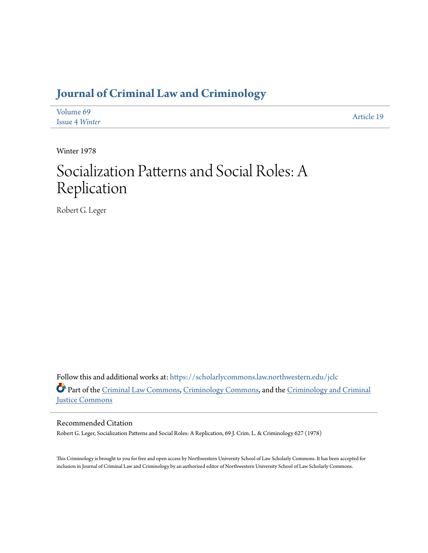# **[Journal of Criminal Law and Criminology](https://scholarlycommons.law.northwestern.edu/jclc?utm_source=scholarlycommons.law.northwestern.edu%2Fjclc%2Fvol69%2Fiss4%2F19&utm_medium=PDF&utm_campaign=PDFCoverPages)**

| Volume 69             | Article 19 |
|-----------------------|------------|
| <b>Issue 4 Winter</b> |            |

Winter 1978

# Socialization Patterns and Social Roles: A Replication

Robert G. Leger

Follow this and additional works at: [https://scholarlycommons.law.northwestern.edu/jclc](https://scholarlycommons.law.northwestern.edu/jclc?utm_source=scholarlycommons.law.northwestern.edu%2Fjclc%2Fvol69%2Fiss4%2F19&utm_medium=PDF&utm_campaign=PDFCoverPages) Part of the [Criminal Law Commons](http://network.bepress.com/hgg/discipline/912?utm_source=scholarlycommons.law.northwestern.edu%2Fjclc%2Fvol69%2Fiss4%2F19&utm_medium=PDF&utm_campaign=PDFCoverPages), [Criminology Commons](http://network.bepress.com/hgg/discipline/417?utm_source=scholarlycommons.law.northwestern.edu%2Fjclc%2Fvol69%2Fiss4%2F19&utm_medium=PDF&utm_campaign=PDFCoverPages), and the [Criminology and Criminal](http://network.bepress.com/hgg/discipline/367?utm_source=scholarlycommons.law.northwestern.edu%2Fjclc%2Fvol69%2Fiss4%2F19&utm_medium=PDF&utm_campaign=PDFCoverPages) [Justice Commons](http://network.bepress.com/hgg/discipline/367?utm_source=scholarlycommons.law.northwestern.edu%2Fjclc%2Fvol69%2Fiss4%2F19&utm_medium=PDF&utm_campaign=PDFCoverPages)

### Recommended Citation

Robert G. Leger, Socialization Patterns and Social Roles: A Replication, 69 J. Crim. L. & Criminology 627 (1978)

This Criminology is brought to you for free and open access by Northwestern University School of Law Scholarly Commons. It has been accepted for inclusion in Journal of Criminal Law and Criminology by an authorized editor of Northwestern University School of Law Scholarly Commons.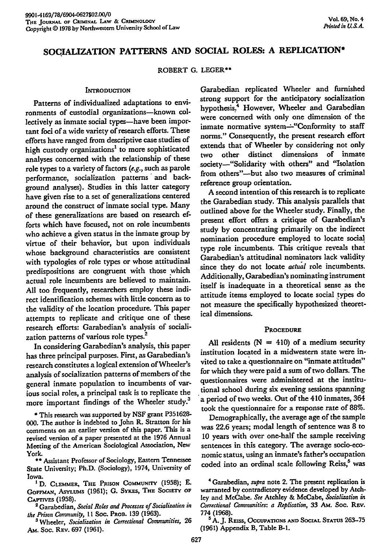## **SOCIALIZATION PATTERNS AND SOCIAL ROLES: A REPICATION\***

#### ROBERT **G.** LEGER"

#### **INTRODUCTION**

Patterns of individualized adaptations to environments of custodial organizations-known collectively as inmate social types-have been important foci of a wide variety of research efforts. These efforts have ranged from descriptive case studies of high custody organizations' to more sophisticated analyses concerned with the relationship of these role types to a variety of factors (e.g., such as parole performance, socialization patterns' and background analyses). Studies in this latter category have given rise to a set of generalizations centered around the construct of inmate social type. Many of these generalizations are based on research efforts which have focused, not on role incumbents who achieve a given status in the inmate group **by** virtue of their behavior, but upon individuals whose background characteristics are consistent with typologies of role types or whose attitudinal predispositions are congruent with those which actual role incumbents are believed to maintain. **All** too frequently, researchers employ these indirect identification schemes with little concern as to the validity of the location procedure. This paper attempts to replicate and critique one of these research efforts: Garabedian's analysis of socialization patterns of various role types.<sup>2</sup>

In considering Garabedian's analysis, this paper has three principal purposes. First, as Garabedian's research constitutes a logical extension of Wheeler's analysis of socialization patterns of members of the general inmate population to incumbents of various social roles, a principal task is to replicate the more important findings of the Wheeler study.<sup>3</sup>

**\*** This research was supported **by NSF** grant **P351628- 000.** The author is indebted to John R. Stratton for his comments on an earlier version of this paper. This is a revised version of a paper presented at the **1976** Annual Meeting of the American Sociological Association, New York.

**\*\*** Assistant Professor of Sociology, Eastern Tennessee State University; Ph.D. (Sociology), 1974, University of Iowa.

**I D.** CLEMMER, THE PRISON **COMMUNITY (1958); E. GOFFMAN, ASYLUMS (1961); G.** SYKES, **THE SOCIETY OF CAPTIVES (1958).**

**'** Garabedian, *Social Roles and Processes of Socialization in the Prison Community,* **11** Soc. **PROD. 139 (1963).**

**'** Wheeler, *Socialization in Correctional Communities,* **26** AM. Soc. **REV. 697 (1961).**

Garabedian replicated Wheeler and furnished strong support for the anticipatory socialization hypothesis.<sup>4</sup> However, Wheeler and Garabedian were concerned with only one dimension of the inmate normative system-"Conformity to staff norms." Consequently, the present research effort extends that of Wheeler **by** considering not only two other distinct dimensions of inmate society-"Solidarity with others" and "Isolation from others"--but also two measures of criminal reference group orientation.

**A** second intention of this research is to replicate the Garabedian study. This analysis parallels that outlined above for the Wheeler study. Finally, the present effort offers a critique of Garabedian's study **by** concentrating primarily on the indirect nomination procedure employed to locate social type role incumbents. This critique reveals that Garabedian's attitudinal nominators lack validity since they do not locate *actual* role incumbents. Additionally, Garabedian's nominating instrument itself is inadequate in a theoretical sense as the attitude items employed to locate social types do not measure the specifically hypothesized theoretical dimensions.

#### **PROCEDURE**

All residents  $(N = 410)$  of a medium security institution located in a midwestern state were invited to take a questionnaire on "inmate attitudes" for which they were paid a sum of two dollars. The questionnaires were administered at the institutional school during six evening sessions spanning a period of two weeks. Out of the 410 inmates, 364 took the questionnaire for a response rate of **88%.**

Demographically, the average age of the sample was **22.6** years; modal length of sentence was **8** to **10** years with over one-half the sample receiving sentences in this category. The average socio-economic status, using an inmate's father's occupation coded into an ordinal scale following Reiss,<sup>5</sup> was

<sup>4</sup> Garabedian, *supra* note 2. The present replication is warranted **by** contradictory evidence developed **by** Atchley and McCabe. *See* Atchley **&** McCabe, *Socialization in Correctional Communities: a Replication,* **33** AM. Soc. REv.

**<sup>774 (1968).</sup> 5 A. J.** REasS, OCCUP'TnoNS **AND SOCIAL** STATUS **263-75 (1961)** Appendix B, Table B-I.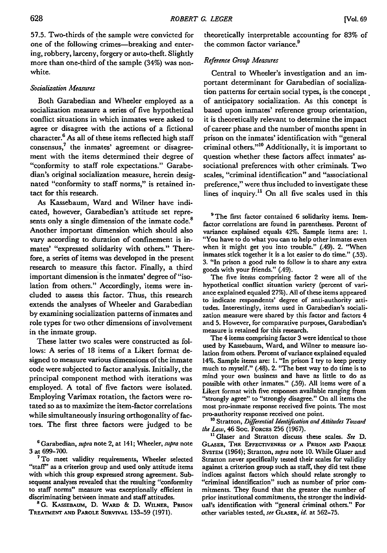57.5. Two-thirds of the sample were convicted for one of the following crimes-breaking and entering, robbery, larceny, forgery or auto-theft. Slightly more than one-third of the sample (34%) was nonwhite.

#### *Socialization Measures*

Both Garabedian and Wheeler employed as a socialization measure a series of five hypothetical conflict situations in which inmates were asked to agree or disagree with the actions of a fictional character.6 As all of these items reflected high staff consensus,<sup>7</sup> the inmates' agreement or disagreement with the items determined their degree of "conformity to staff role expectations." Garabedian's original socialization measure, herein designated "conformity to staff norms," is retained intact for this research.

As Kassebaum, Ward and Wilner have indicated, however, Garabedian's attitude set represents only a single dimension of the inmate code.<sup>8</sup> Another important dimension which should also vary according to duration of confinement is inmates' "expressed solidarity with others." Therefore, a series of items was developed in the present research to measure this factor. Finally, a third important dimension is the inmates' degree of "isolation from others." Accordingly, items were included to assess this factor. Thus, this research extends the analyses of Wheeler and Garabedian by examining socialization patterns of inmates and role types for two other dimensions of involvement in the inmate group.

These latter two scales were constructed as follows: A series of 18 items of a Likert format designed to measure various dimensions of the inmate code were subjected to factor analysis. Initially, the principal component method with iterations was employed. **A** total of five factors were isolated. Employing Varimax rotation, the factors were rotated so as to maximize the item-factor correlations while simultaneously insuring orthogonality of factors. The first three factors were judged to be

*<sup>6</sup>*Garabedian, *supra* note 2, at 141; Wheeler, *supra* note 3 at 699-700.

<sup>7</sup> To meet validity requirements, Wheeler selected "staff" as a criterion group and used only attitude items with which this group expressed strong agreement. Subsequent analyses revealed that the resulting "conformity to staff norms" measure was exceptionally efficient in discriminating between inmate and staff attitudes. **8 G. KASSEBAUM, D.** WARD **& D. WILNER, PRISON**

TREATMENT **AND** PAROLE SURVIVAL **153-59 (1971).**

theoretically interpretable accounting for 83% of the common factor variance.<sup>9</sup>

#### *Reference Group Measures*

Central to Wheeler's investigation and an important determinant for Garabedian of socialization patterns for certain social types, is the concept. of anticipatory socialization. As this concept is based upon inmates' reference group orientation, it is theoretically relevant to determine the impact of career phase and the number of months spent in prison on the inmates' identification with "general criminal others."<sup>10</sup> Additionally, it is important to question whether these factors affect inmates' associational preferences with other criminals. Two scales, "criminal identification" and "associational preference," were thus included to investigate these lines of inquiry.<sup>11</sup> On all five scales used in this

<sup>9</sup> The first factor contained 6 solidarity items. Itemfactor correlations are found in parentheses. Percent of variance explained equals 42%. Sample items are: **1.** "You have to do what you can to help other inmates even when it might get you into trouble." (.49). 2. "When inmates stick together it is a lot easier to do time." (.53). 3. "In prison a good rule to follow is to share any extra goods with your friends." (.49).

The five items comprising factor 2 were all of the hypothetical conflict situation variety (percent of variance explained equaled 27%). All of these items appeared to indicate respondents' degree of anti-authority attitudes. Interestingly, items used in Garabedian's socialization measure were shared by this factor and factors 4 and 5. However, for comparative purposes, Garabedian's measure is retained for this research.

The 4 items comprising factor 3 were identical to those used by Kassebaum, Ward, and Wilner to measure isolation from others. Percent of variance explained equaled 14%. Sample items are: **1.** "In prison I try to keep pretty much to myself." (.48). 2. "The best way to do time is to mind your own business and have as little to do as possible with other inmates." (.59). All items were of a Likert format with five responses available ranging from "strongly agree" to "strongly disagree." On all items the most pro-inmate response received five points. The most pro-authority response received one point.

**"0** Stratton, *Differential Identification and Attitudes Toward the Law,* 46 Soc. FORcES **256 (1967).**

"Glaser and Stratton discuss these scales. *See D.* **GLASER, THE EFFECrIVENESS OF A PRISON AND PAROLE SYSTEM** (1964); Stratton, *supra* note **10.** While Glaser and Stratton never specifically tested their scales for validity **against a criterion group such** as staff, they did test these **indices against factors** which should relate strongly **to** "criminal identification" such as number of prior com mitments. They found that the greater the number of prior institutional commitments, the stronger the individual's identification with "general criminal others." For other variables tested, *see* **GLASER,** *id.* at **562-75.**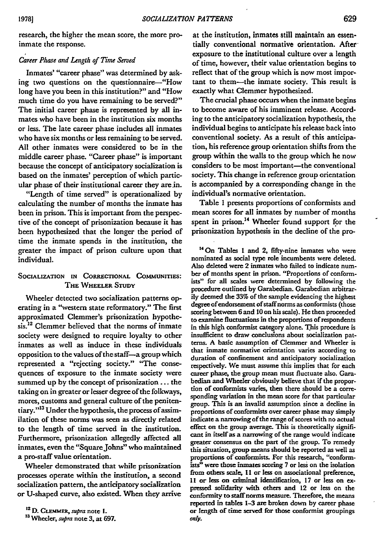research, the higher the mean score, the more proinmate the response.

#### *Career Phase and Length of Time Served*

Inmates' "career phase" was determined by asking two questions on the questionnaire-"How long have you been in this institution?" and "How much time do you have remaining to be served?" The initial career phase is represented by all inmates who have been in the institution six months or less. The late career phase includes all inmates who have six months or less remaining to be served. All other inmates were considered to be in the middle career phase. "Career phase" is important because the concept of anticipatory socialization is based on the inmates' perception of which particular phase of their institutional career they are in.

"Length of time served" is operationalized by calculating the number of months the inmate has been in prison. This is important from the perspective of the concept of prisonization because it has been hypothesized that the longer the period of time the inmate spends in the institution, the greater the impact of prison culture upon that individual.

#### **SOCIALIZATION IN CORRECTIONAL COMMUNITIES: THE WHEELER STUDY**

Wheeler detected two socialization patterns operating in a "western state reformatory." The first approximated Clemmer's prisonization hypothesis.<sup>12</sup> Clemmer believed that the norms of inmate society were designed to require loyalty to other inmates as well as induce in these individuals opposition to the values of the staff-a group which represented a "rejecting society." "The consequences of exposure to the inmate society were summed up **by** the concept of prisonization **...** the taking on in greater or lesser degree of the folkways, mores, customs and general culture of the penitentiary."<sup>13</sup> Under the hypothesis, the process of assimilation of these norms was seen as directly related to the length of time served in the institution. Furthermore, prisonization allegedly affected all inmates, even the "Square Johns" who maintained a pro-staff value orientation.

Wheeler demonstrated that while prisonization processes operate within the institution, a second socialization pattern, the anticipatory socialization or U-shaped curve, also existed. When they arrive at the institution, inmates still maintain an essentially conventional normative orientation. After exposure to the institutional culture over a length of time, however, their value orientation begins to reflect that of the group which is now most important to them-the inmate society. This result is exactly what Clemmer hypothesized.

The crucial phase occurs when the inmate begins to become aware of his imminent release. According to the anticipatory socialization hypothesis, the individual begins to anticipate his release back into conventional society. As a result of this anticipation, his reference group orientation shifts from the group within the walls to the group which he now considers to be most important-the conventional society. This change in reference group orientation is accompanied **by** a corresponding change in the individual's normative orientation.

Table **1** presents proportions of conformists and mean scores for all inmates **by** number of months spent in prison.<sup>14</sup> Wheeler found support for the prisonization hypothesis in the decline of the pro-

**14On** Tables I and 2, fifty-nine inmates who were nominated as social type role incumbents were deleted. Also deleted were 2 inmates who failed to indicate number of months spent in prison. "Proportions of conformists" for all scales were determined **by** following the procedure outlined by Garabedian. Garabedian arbitrarily deemed the **33%** of the sample evidencing the highest degree of endorsement of staff norms as conformists (those scoring between **6** and **10** on his scale). He then proceeded to examine fluctuations in the proportions of respondents in this high conformist category alone. This procedure is insufficient to draw conclusions about socialization patterns. **A** basic assumption of Clemmer and Wheeler is that inmate normative orientation varies according to duration of confinement and anticipatory socialization respectively. We must assume this implies that for each career phase, the group mean must fluctuate also. Garabedian and Wheeler obviously believe that if the proportion of conformists varies, then there should be a corre- sponding variation in the mean score for that particular group. This is an invalid assumption since a decline in proportions of conformists over career phase may simply indicate a narrowing of the range of scores with no actual effect on the group average. This is theoretically significant in itself as a narrowing of the range would indicate greater consensus on the part of the group. To remedy this situation, group means should be reported as well as proportions of conformists. For this research, "conformists" were those inmates scoring **7** or less on the isolation from others scale, **II** or less on associational preference, **11** or less on criminal identification, **17** or less on expressed solidarity with others and 12 or less on the confbrmity to staff norms measure. Therefore, the means reported in tables **1-3** are broken down **by** career phase or length of time served for those conformist groupings **0nry-,**

<sup>1</sup> <sup>2</sup>**D.** CLF-,,mrE, **supra** note **.**

**<sup>&#</sup>x27; <sup>3</sup>** Wheeler, *supra* note **3,** at **697.**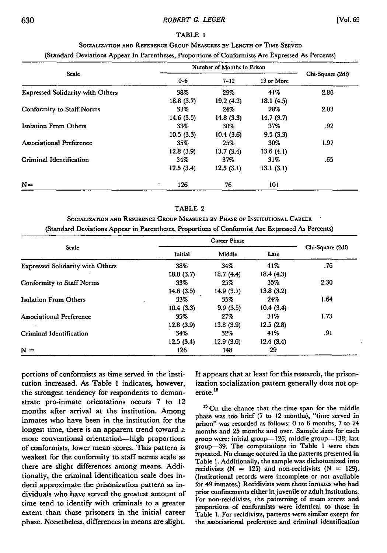#### TABLE 1

#### **SOCIALIZATION AND** REFERENCE GROUP **MEASURES** BY **LENGTH** OF TIME SERVED (Standard Deviations Appear In Parentheses, Proportions of Conformists Are Expressed As Percents)

|                                         | Number of Months in Prison |           |            |                  |
|-----------------------------------------|----------------------------|-----------|------------|------------------|
| Scale                                   | $0 - 6$                    | 7–12      | 13 or More | Chi-Square (2df) |
| <b>Expressed Solidarity with Others</b> | 38%                        | 29%       | 41%        | 2.86             |
|                                         | 18.8(3.7)                  | 19.2(4.2) | 18.1(4.5)  |                  |
| <b>Conformity to Staff Norms</b>        | 33%                        | 24%       | 28%        | 2.03             |
|                                         | 14.6(3.5)                  | 14.8(3.3) | 14.7(3.7)  |                  |
| <b>Isolation From Others</b>            | 33%                        | 30%       | 37%        | .92              |
|                                         | 10.5(3.3)                  | 10.4(3.6) | 9.5(3.3)   |                  |
| <b>Associational Preference</b>         | 35%                        | 25%       | 30%        | 1.97             |
|                                         | 12.8(3.9)                  | 13.7(3.4) | 13.6(4.1)  |                  |
| Criminal Identification                 | 34%                        | 37%       | 31%        | .65              |
|                                         | 12.5(3.4)                  | 12.5(3.1) | 13.1(3.1)  |                  |
| $N =$                                   | ۰<br>126                   | 76        | 101        |                  |

#### TABLE 2

#### **SOCIALIZATION AND** REFERENCE GROUP **MEASURES** BY **PHASE** OF **INSTITUTIONAL** CAREER (Standard Deviations Appear in Parentheses, Proportions of Conformist Are Expressed As Percents)

| Scale                                   | Initial   | Middle    | Late      | Chi-Square (2df) |
|-----------------------------------------|-----------|-----------|-----------|------------------|
| <b>Expressed Solidarity with Others</b> | 38%       | 34%       | 41%       | .76              |
|                                         | 18.8(3.7) | 18.7(4.4) | 18.4(4.3) |                  |
| <b>Conformity to Staff Norms</b>        | 33%       | 25%       | 35%       | 2.30             |
|                                         | 14.6(3.5) | 14.9(3.7) | 13.8(3.2) |                  |
| Isolation From Others                   | 33%       | 35%       | 24%       | 1.64             |
|                                         | 10.4(3.3) | 9.9(3.5)  | 10.4(3.4) |                  |
| <b>Associational Preference</b>         | 35%       | 27%       | 31%       | 1.73             |
|                                         | 12.8(3.9) | 13.8(3.9) | 12.5(2.8) |                  |
| Criminal Identification                 | 34%       | 32%       | 41%       | .91              |
|                                         | 12.5(3.4) | 12.9(3.0) | 12.4(3.4) |                  |
| $N =$                                   | 126       | 148       | 29        |                  |

portions of conformists as time served in the institution increased. As Table 1 indicates, however, the strongest tendency for respondents to demonstrate pro-inmate orientations occurs **7** to 12 months after arrival at the institution. Among inmates who have been in the institution for the longest time, there is an apparent trend toward a more conventional orientation-high proportions of conformists, lower mean scores. This pattern is weakest for the conformity to staff norms scale as there are slight differences among means. Additionally, the criminal identification scale does indeed approximate the prisonization pattern as individuals who have served the greatest amount of time tend to identify with criminals to a greater extent than those prisoners in the initial career phase. Nonetheless, differences in means are slight. It appears that at least for this research, the prisonization socialization pattern generally does not operate.15

**i <sup>5</sup>**On the chance that the time span for the middle phase was too brief (7 to 12 months), "time served in prison" was recorded as follows: **0** to **6** months, **7** to 24 months and **25** months and over. Sample sizes for each group were: initial group-126; middle group-138; last group-39. The computations in Table 1 were then repeated. No change occured in the patterns presented in Table **1.** Additionally, the sample was dichotomized into recidivists  $(N = 125)$  and non-recidivists  $(N = 129)$ . (Institutional records were incomplete or not available for 49 inmates.) Recidivists were those inmates who had prior confinements either in juvenile or adult institutions. For non-recidivists, the patterning of mean scores and proportions of conformists were identical to those in Table **1.** For recidivists, patterns were similar except for the associational preference and criminal identification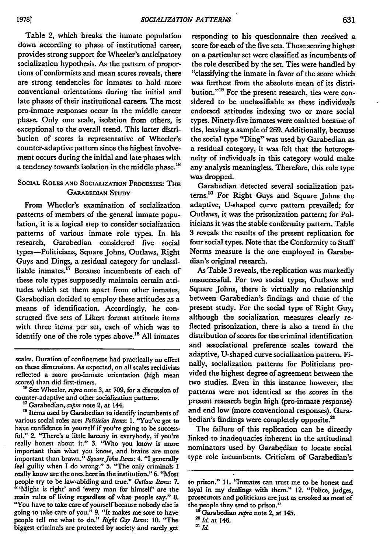Table 2, which breaks the inmate population down according to phase of institutional career, provides strong support for Wheeler's anticipatory socialization hypothesis. As the pattern of proportions of conformists and mean scores reveals, there are strong tendencies for inmates to hold more conventional orientations during the initial and late phases of their institutional careers. The most pro-inmate responses occur in the middle career phase. Only one scale, isolation from others, is exceptional to the overall trend. This latter distribution of scores is representative of Wheeler's counter-adaptive pattern since the highest involvement occurs during the initial and late phases with a tendency towards isolation in the middle phase.<sup>16</sup>

#### SOCIAL ROLES **AND SOCIALIZATION** PROCESSES: THE **GARABEDIAN STUDY**

From Wheeler's examination of socialization patterns of members of the general inmate population, it is a logical step to consider socialization patterns of various inmate role types. In his research, Garabedian considered five social types-Politicians, Square Johns, Outlaws, Right Guys and Dings, a residual category for unclassifiable inmates. 17 Because incumbents of each of these role types supposedly maintain certain attitudes which set them apart from other inmates, Garabedian decided to employ these attitudes as a means of identification. Accordingly, he constructed five sets of Likert format attitude items with three items per set, each of which was to identify one of the role types above.<sup>18</sup> All inmates

**16** See Wheeler, *supra* note **3,** at **709,** for a discussion of counter-adaptive and other socialization patterns. **17 Garabedian,** *supra* note 2, at 144.

**Is** Items used **by** Garabedian to identify incumbents of various social roles are: *Politician Items:* **1.** "You've got to have confidence in yourself if you're going to be success- ful." 2. "There's a little larceny in everybody, if you're really honest about it." **3.** "Who you know is more important than what you know, and brains are more important than brawn." *Square* **John** *Items:* **4.** "1 generally fecl guilty when I do wrong." **5.** "The only criminals **I** really know are the ones here in the institution." **6.** "Most people try to be law-abiding and true." *Outlaw Items:* **7.** "'Might is right' and 'every man for himself' are the main rules of living regardless of what people say." **8.** "You have to take care of yourself because nobody else is going to take care of you." **9.** "It makes me sore to have people tell me what to do." *Right Guy Items:* **10.** "The biggest criminals **are** protected **by** society and rarely get

responding to his questionnaire then received a score for each of the five sets. Those scoring highest on a particular set were classified as incumbents of the role described **by** the set. Ties were handled **by** "classifying the inmate in favor of the score which was furthest from the absolute mean of its distribution."<sup>19</sup> For the present research, ties were considered to be unclassifiable as these individuals endorsed attitudes indexing two or more social types. Ninety-five inmates were omitted because of ties, leaving a sample of **269.** Additionally, because the social type "Ding" was used **by** Garabedian as a residual category, it was felt that the heterogeneity of individuals in this category would make any analysis meaningless. Therefore, this role type was dropped.

Garabedian detected several socialization patterns.<sup>2</sup> 0 For Right Guys and Square Johns the adaptive, U-shaped curve pattern prevailed; for Outlaws, it was the prisonization pattern; for Politicians it was the stable conformity pattern. Table **3** reveals the results of the present replication for four social types. Note that the Conformity to Staff Norms measure is the one employed in Garabedian's original research.

As Table **3** reveals, the replication was markedly unsuccessful. For two social types, Outlaws and Square Johns, there is virtually no relationship between Garabedian's findings and those of the present study. For the social type of Right Guy, although the socialization measures clearly reflected prisonization, there is also a trend in the distribution of scores for the criminal identification and associational preference scales toward the adaptive, U-shaped curve socialization pattern. Finally, socialization patterns for Politicians provided the highest degree of agreement between the two studies. Even in this instance however, the patterns were not identical as the scores in the present research begin high (pro-inmate response) and end low (more conventional responses). Garabedian's findings were completely opposite.<sup>21</sup>

The failure of this replication can be directly linked to inadequacies inherent in the attitudinal nominators used **by** Garabedian to locate social type role incumbents. Criticism of Garabedian's

scales. Duration of confinement had practically no effect on these dimensions. As expected, on all scales recidivists reflected a more pro-inmate orientation (high mean scores) than did first-timers.

to prison." **11.** "Inmates can trust me to be honest and loyal in my dealings with them." 12. "Police, judges, prosecutors and politicians are just as crooked as most of the people they send to prison."

Garabedian *supra* note 2, at 145.

<sup>20</sup>*Id* at 146.

**<sup>21</sup>** *Id*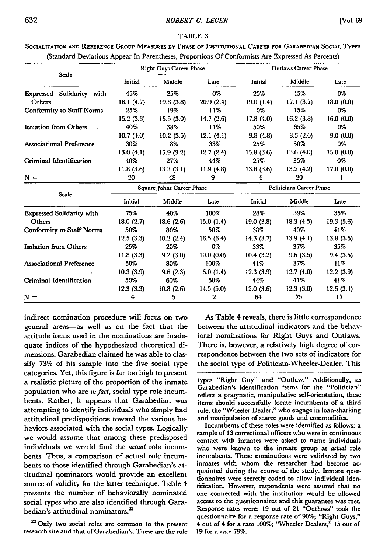#### TABLE **3**

| SOCIALIZATION AND REFERENCE GROUP MEASURES BY PHASE OF INSTITUTIONAL CAREER FOR GARABEDIAN SOCIAL TYPES |                                                                                                   |  |  |  |
|---------------------------------------------------------------------------------------------------------|---------------------------------------------------------------------------------------------------|--|--|--|
|                                                                                                         | (Standard Deviations Appear In Parentheses, Proportions Of Conformists Are Expressed As Percents) |  |  |  |

| <b>Scale</b>                     |           | <b>Right Guys Career Phase</b> |           |           | <b>Outlaws Career Phase</b>     |            |  |  |
|----------------------------------|-----------|--------------------------------|-----------|-----------|---------------------------------|------------|--|--|
|                                  | Initial   | Middle                         | Late      | Initial   | Middle                          | Late       |  |  |
| Expressed Solidarity with        | 45%       | 25%                            | 0%        | 25%       | 45%                             | $0\%$      |  |  |
| Others                           | 18.1(4.7) | 19.8(3.8)                      | 20.9(2.4) | 19.0(1.4) | 17.1(3.7)                       | 18.0(0.0)  |  |  |
| <b>Conformity to Staff Norms</b> | 25%       | 19%                            | 11%       | 0%        | 15%                             | 0%         |  |  |
|                                  | 15.2(3.3) | 15.5(3.0)                      | 14.7(2.6) | 17.8(4.0) | 16.2(3.8)                       | 16.0(0.0)  |  |  |
| <b>Isolation from Others</b>     | 40%       | 38%                            | 11%       | 50%       | 65%                             | 0%         |  |  |
|                                  | 10.7(4.0) | 10.2(3.5)                      | 12.1(4.1) | 9.8(4.8)  | 8.3(2.6)                        | 9.0(0.0)   |  |  |
| <b>Associational Preference</b>  | 30%       | 8%                             | 33%       | 25%       | 30%                             | 0%         |  |  |
|                                  | 13.0(4.1) | 15.9(3.2)                      | 12.7(2.4) | 15.8(3.6) | 13.6(4.0)                       | 15.0(0.0)  |  |  |
| Criminal Identification          | 40%       | 27%                            | 44%       | 25%       | 35%                             | 0%         |  |  |
|                                  | 11.8(3.6) | 13.3(3.1)                      | 11.9(4.8) | 13.8(3.6) | 13.2(4.2)                       | 17.0 (0.0) |  |  |
| $N =$                            | 20        | 48                             | 9         | 4         | 20                              |            |  |  |
|                                  |           | Square Johns Career Phase      |           |           | <b>Politicians Career Phase</b> |            |  |  |
| Scale                            | Initial   | Middle                         | Late      | Initial   | Middle                          | Late       |  |  |
| <b>Expressed Solidarity with</b> | 75%       | 40%                            | 100%      | 28%       | 39%                             | 35%        |  |  |
| Others                           | 18.0(2.7) | 18.6(2.6)                      | 15.0(1.4) | 19.0(3.8) | 18.3(4.5)                       | 19.3(5.6)  |  |  |
| <b>Conformity to Staff Norms</b> | 50%       | 80%                            | 50%       | 38%       | 40%                             | 41%        |  |  |
|                                  | 12.5(3.3) | 10.2(2.4)                      | 16.5(6.4) | 14.3(3.7) | 13.9(4.1)                       | 13.8(3.5)  |  |  |
| Isolation from Others            | 25%       | 20%                            | 0%        | 33%       | 37%                             | 35%        |  |  |
|                                  | 11.8(3.3) | 9.2(3.0)                       | 10.0(0.0) | 10.4(3.2) | 9.6(3.5)                        | 9.4(3.5)   |  |  |
| <b>Associational Preference</b>  | 50%       | 80%                            | 100%      | 41%       | 37%                             | 41%        |  |  |
|                                  | 10.3(3.9) | 9.6(2.3)                       | 6.0(1.4)  | 12.3(3.9) | 12.7(4.0)                       | 12.2(3.9)  |  |  |
| Criminal Identification          | 50%       | 60%                            | 50%       | 44%       | 41%                             | 41%        |  |  |
|                                  | 12.3(3.3) | 10.8(2.6)                      | 14.5(5.0) | 12.0(3.6) | 12.3(3.0)                       | 12.6(3.4)  |  |  |
| $N =$                            | 4         | 5                              | 2         | 64        | 75                              | 17         |  |  |

indirect nomination procedure will focus on two general areas-as well as on the fact that the attitude items used in the nominations are inadequate indices of the hypothesized theoretical dimensions. Garabedian claimed he was able to classify 73% of his sample into the five social type categories. Yet, this figure is far too high to present a realistic picture of the proportion of the inmate population who are *in fact,* social type role incumbents. Rather, it appears that Garabedian was attempting to identify individuals who simply had attitudinal predispositions toward the various behaviors associated with the social types. Logically we would assume that among these predisposed individuals we would find the *actual* role incumbents. Thus, a comparison of actual role incumbents to those identified through Garabedian's attitudinal nominators would provide an excellent source of validity for the latter technique. Table 4 presents the number of behaviorally nominated social types who are also identified through Garabedian's attitudinal nominators.<sup>22</sup>

<sup>22</sup> Only two social roles are common to the present research site and that of Garabedian's. These are the role

As Table 4 reveals, there is little correspondence between the attitudinal indicators and the behavioral nominations for Right Guys and Outlaws. There is, however, a relatively high degree of correspondence between the two sets of indicators for the social type of Politician-Wheeler-Dealer. This

types "Right Guy" and "Outlaw." Additionally, as Garabedian's identification items for the "Politician" reflect a pragmatic, manipulative self-orientation, these items should successfully locate incumbents of a third role, the "Wheeler Dealer," who engage in loan-sharking and manipulation of scarce goods and commodities.

Incumbents of these roles were identified as follows: a sample of 13 correctional officers who were in continuous contact with inmates were asked to name individuals who were known to the inmate group as *actual* role incumbents. These nominations were validated by two inmates with whom the researcher had become acquainted during the course of the study. Inmate questionnaires were secretly coded to allow individual identification. However, respondents were assured that no one connected with the institution would be allowed access to the questionnaires and this guarantee was met. Response rates were: 19 out of 21 "Outlaws" took the questionnaire for a response rate of 90%; "Right Guys," 4 out of 4 for a rate 100%; "Wheeler Dealers," 15 out of 19 for a rate 79%.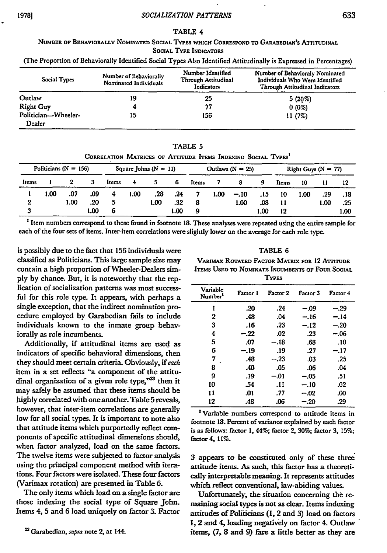#### TABLE 4

**NUMBER OF BEHAVIORALLY NOMINATED SOCIAL** TYPES **WHICH CORRESPOND TO GARABEDIAN'\$ ATTITUDINAL SOCIAL TYPE INDICATORS**

(The Proportion of Behaviorally Identified Social Types Also Identified Attitudinally is Expressed in Percentages)

| Social Types                  | Number of Behaviorally<br>Nominated Individuals | Number Identified<br><b>Through Attitudinal</b><br>Indicators | Number of Behavioraly Nominated<br>Individuals Who Were Identified<br>Through Attitudinal Indicators |
|-------------------------------|-------------------------------------------------|---------------------------------------------------------------|------------------------------------------------------------------------------------------------------|
| Outlaw                        | 19                                              | 25                                                            | $5(20\%)$                                                                                            |
| <b>Right Guy</b>              |                                                 | 77                                                            | $0(0\%)$                                                                                             |
| Politician-Wheeler-<br>Dealer | 15                                              | 156                                                           | 11(7%)                                                                                               |

TABLE **5**

| CORRELATION MATRICES OF ATTITUDE ITEMS INDEXING SOCIAL TYPES <sup>1</sup> |  |
|---------------------------------------------------------------------------|--|
|---------------------------------------------------------------------------|--|

|       |      | Politicians ( $N = 156$ )<br>Square Johns ( $N = 11$ )<br>Outlaws ( $N = 25$ ) |      |       |      |      |                   |       |      | Right Guys ( $N = 77$ ) |      |       |      |      |      |
|-------|------|--------------------------------------------------------------------------------|------|-------|------|------|-------------------|-------|------|-------------------------|------|-------|------|------|------|
| Items |      |                                                                                | 3    | Items |      |      | ь                 | Items |      |                         | 9    | Items | 10   |      | -12  |
|       | 1.00 | .07                                                                            | .09  |       | 1.00 | .28  | .24               |       | 1.00 | $-.10$                  | . 15 | 10    | 1.00 | .29  | .18  |
| ົ     |      | 1.00                                                                           | .20  |       |      | 1.00 | .32               | 8     |      | 1.00 <sub>1</sub>       | .08  |       |      | 1.00 | .25  |
| 3     |      |                                                                                | 1.00 | o     |      |      | 1.00 <sub>1</sub> | 9     |      |                         | 1.00 | 12    |      |      | 1.00 |

t Item numbers correspond to those found in footnote **18.** These analyses were repeated using the entire sample for each of the four sets of items. Inter-item correlations were slightly lower on the average for each role type.

is possibly due to the fact that **156** individuals were classified as Politicians. This large sample size may contain a high proportion of Wheeler-Dealers simply by chance. But, it is noteworthy that the replication of socialization patterns was most successful for this role type. It appears, with perhaps a single exception, that the indirect nomination procedure employed by Garabedian fails to include individuals known to the inmate group behaviorally as role incumbents.

Additionally, if attitudinal items are used as indicators of specific behavioral dimensions, then they should meet certain criteria. Obviously, *ifeach* item in a set reflects "a component of the attitudinal organization of a given role type," $^{23}$  then it may safely be assumed that these items should be highly correlated with one another. Table 5 reveals, however, that inter-item correlations are generally low for all social types. It is important to note also that attitude items which purportedly reflect components of specific attitudinal dimensions should, when factor analyzed, load on the same factors. The twelve items were subjected to factor analysis using the principal component method with iterations. Four factors were isolated. These four factors (Varimax rotation) are presented in Table 6.

The only items which load on a single factor are those indexing the social type of Square John. Items 4, 5 and 6 load uniquely on factor **3.** Factor

#### TABLE 6

**VARIMAX ROTATED FACTOR MATRIX FOR 12 ATTITUDE** ITEMS **USED** TO **NOMINATE INCUMBENTS OF FOUR SOCIAL TYPES**

| Variable<br>Number <sup>1</sup> | Factor 1 | Factor 2 | Factor 3 | Factor 4 |
|---------------------------------|----------|----------|----------|----------|
| ı                               | .20      | -24      | $-.09$   | -.29     |
| 2                               | .48      | .04      | $-.16$   | $-.14$   |
| 3                               | .16      | .23      | $-.12$   | $-.20$   |
| 4                               | --22     | .02      | .23      | --.06    |
| 5                               | .07      | -.18     | .68      | .10      |
| 6                               | $-.19$   | .19      | .27      | $-.17$   |
| 7                               | .48      | $-.23$   | .03      | .25      |
| 8                               | .40      | .05      | .06      | .04      |
| 9                               | .19      | $-.01$   | $-.05$   | .51      |
| 10                              | .54      | .11      | $-.10$   | .02      |
| 11                              | .01      | .77      | -.02     | .00      |
| 12                              | .48      | .06      | $-.20$   | .29      |

'Variable numbers correspond to attitude items in footnote **18.** Percent of variance explained **by** each factor is as follows: factor **1,** 44%; factor 2, **30%;** factor **3, 15%;** factor 4, **11%.**

**3** appears to **be** constituted only of these three attitude items. As such, this factor has a theoretically interpretable meaning. It represents attitudes which reflect conventional, law-abiding values.

Unfortunately, the situation concerning the remaining social types is not as clear. Items indexing attitudes of Politicians **(1,** 2 and 3) load on factors **1,** 2 and 4, loading negatively on factor 4. Outlaw items, **(7,** 8 and **9)** fare a little better as they are